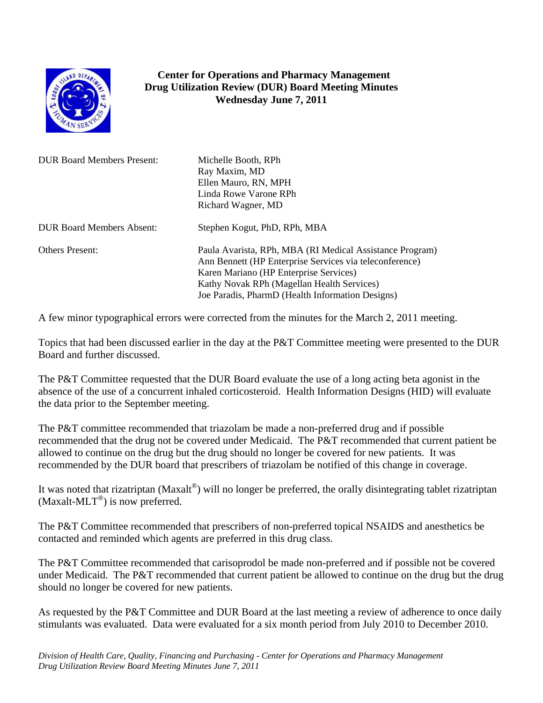

## **Center for Operations and Pharmacy Management Drug Utilization Review (DUR) Board Meeting Minutes Wednesday June 7, 2011**

| <b>DUR Board Members Present:</b> | Michelle Booth, RPh<br>Ray Maxim, MD<br>Ellen Mauro, RN, MPH<br>Linda Rowe Varone RPh<br>Richard Wagner, MD                                                                                                                                                     |
|-----------------------------------|-----------------------------------------------------------------------------------------------------------------------------------------------------------------------------------------------------------------------------------------------------------------|
| <b>DUR Board Members Absent:</b>  | Stephen Kogut, PhD, RPh, MBA                                                                                                                                                                                                                                    |
| <b>Others Present:</b>            | Paula Avarista, RPh, MBA (RI Medical Assistance Program)<br>Ann Bennett (HP Enterprise Services via teleconference)<br>Karen Mariano (HP Enterprise Services)<br>Kathy Novak RPh (Magellan Health Services)<br>Joe Paradis, PharmD (Health Information Designs) |

A few minor typographical errors were corrected from the minutes for the March 2, 2011 meeting.

Topics that had been discussed earlier in the day at the P&T Committee meeting were presented to the DUR Board and further discussed.

The P&T Committee requested that the DUR Board evaluate the use of a long acting beta agonist in the absence of the use of a concurrent inhaled corticosteroid. Health Information Designs (HID) will evaluate the data prior to the September meeting.

The P&T committee recommended that triazolam be made a non-preferred drug and if possible recommended that the drug not be covered under Medicaid. The P&T recommended that current patient be allowed to continue on the drug but the drug should no longer be covered for new patients. It was recommended by the DUR board that prescribers of triazolam be notified of this change in coverage.

It was noted that rizatriptan (Maxalt<sup>®</sup>) will no longer be preferred, the orally disintegrating tablet rizatriptan (Maxalt-MLT<sup>®</sup>) is now preferred.

The P&T Committee recommended that prescribers of non-preferred topical NSAIDS and anesthetics be contacted and reminded which agents are preferred in this drug class.

The P&T Committee recommended that carisoprodol be made non-preferred and if possible not be covered under Medicaid. The P&T recommended that current patient be allowed to continue on the drug but the drug should no longer be covered for new patients.

As requested by the P&T Committee and DUR Board at the last meeting a review of adherence to once daily stimulants was evaluated. Data were evaluated for a six month period from July 2010 to December 2010.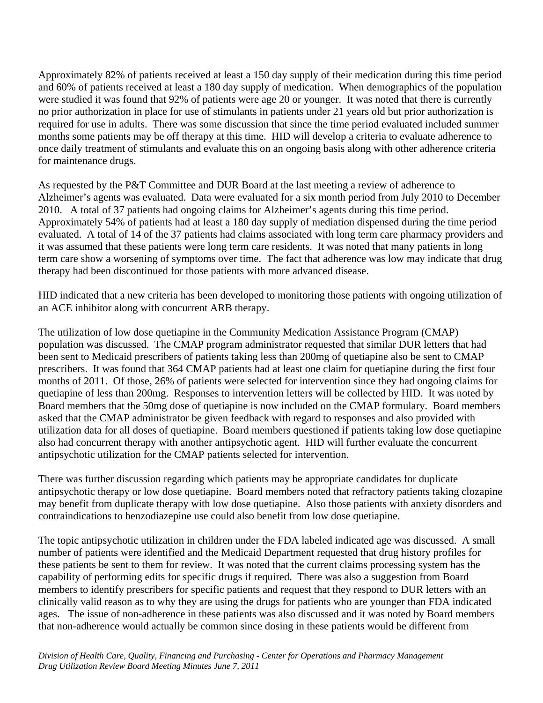Approximately 82% of patients received at least a 150 day supply of their medication during this time period and 60% of patients received at least a 180 day supply of medication. When demographics of the population were studied it was found that 92% of patients were age 20 or younger. It was noted that there is currently no prior authorization in place for use of stimulants in patients under 21 years old but prior authorization is required for use in adults. There was some discussion that since the time period evaluated included summer months some patients may be off therapy at this time. HID will develop a criteria to evaluate adherence to once daily treatment of stimulants and evaluate this on an ongoing basis along with other adherence criteria for maintenance drugs.

As requested by the P&T Committee and DUR Board at the last meeting a review of adherence to Alzheimer's agents was evaluated. Data were evaluated for a six month period from July 2010 to December 2010. A total of 37 patients had ongoing claims for Alzheimer's agents during this time period. Approximately 54% of patients had at least a 180 day supply of mediation dispensed during the time period evaluated. A total of 14 of the 37 patients had claims associated with long term care pharmacy providers and it was assumed that these patients were long term care residents. It was noted that many patients in long term care show a worsening of symptoms over time. The fact that adherence was low may indicate that drug therapy had been discontinued for those patients with more advanced disease.

HID indicated that a new criteria has been developed to monitoring those patients with ongoing utilization of an ACE inhibitor along with concurrent ARB therapy.

The utilization of low dose quetiapine in the Community Medication Assistance Program (CMAP) population was discussed. The CMAP program administrator requested that similar DUR letters that had been sent to Medicaid prescribers of patients taking less than 200mg of quetiapine also be sent to CMAP prescribers. It was found that 364 CMAP patients had at least one claim for quetiapine during the first four months of 2011. Of those, 26% of patients were selected for intervention since they had ongoing claims for quetiapine of less than 200mg. Responses to intervention letters will be collected by HID. It was noted by Board members that the 50mg dose of quetiapine is now included on the CMAP formulary. Board members asked that the CMAP administrator be given feedback with regard to responses and also provided with utilization data for all doses of quetiapine. Board members questioned if patients taking low dose quetiapine also had concurrent therapy with another antipsychotic agent. HID will further evaluate the concurrent antipsychotic utilization for the CMAP patients selected for intervention.

There was further discussion regarding which patients may be appropriate candidates for duplicate antipsychotic therapy or low dose quetiapine. Board members noted that refractory patients taking clozapine may benefit from duplicate therapy with low dose quetiapine. Also those patients with anxiety disorders and contraindications to benzodiazepine use could also benefit from low dose quetiapine.

The topic antipsychotic utilization in children under the FDA labeled indicated age was discussed. A small number of patients were identified and the Medicaid Department requested that drug history profiles for these patients be sent to them for review. It was noted that the current claims processing system has the capability of performing edits for specific drugs if required. There was also a suggestion from Board members to identify prescribers for specific patients and request that they respond to DUR letters with an clinically valid reason as to why they are using the drugs for patients who are younger than FDA indicated ages. The issue of non-adherence in these patients was also discussed and it was noted by Board members that non-adherence would actually be common since dosing in these patients would be different from